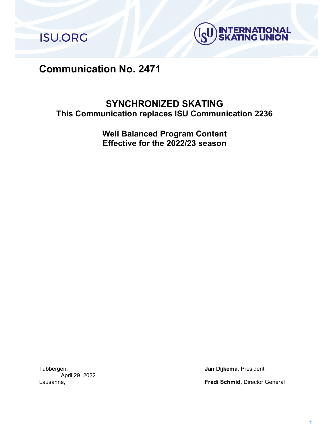**ISU.ORG** 



# Communication No. 2471

# SYNCHRONIZED SKATING This Communication replaces ISU Communication 2236

Well Balanced Program Content Effective for the 2022/23 season

Tubbergen, **Jan Dijkema**, President April 29, 2022

Lausanne, Fredi Schmid, Director General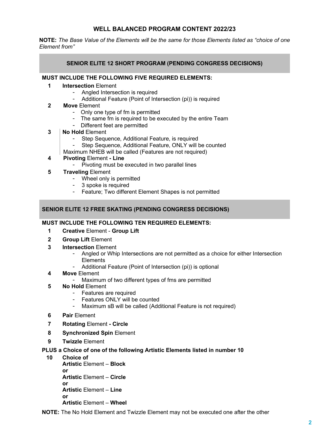# WELL BALANCED PROGRAM CONTENT 2022/23

NOTE: The Base Value of the Elements will be the same for those Elements listed as "choice of one Element from"

# SENIOR ELITE 12 SHORT PROGRAM (PENDING CONGRESS DECISIONS)

#### MUST INCLUDE THE FOLLOWING FIVE REQUIRED ELEMENTS:

- 1 **Intersection Element** 
	- Angled Intersection is required
	- Additional Feature (Point of Intersection (pi)) is required
- 2 Move Element
	- Only one type of fm is permitted
	- The same fm is required to be executed by the entire Team
	- Different feet are permitted
- 3 | No Hold Element
	- Step Sequence, Additional Feature, is required
	- Step Sequence, Additional Feature, ONLY will be counted
	- Maximum NHEB will be called (Features are not required)
- 4 Pivoting Element Line
	- Pivoting must be executed in two parallel lines
- 5 Traveling Element
	- Wheel only is permitted
	- 3 spoke is required
	- Feature; Two different Element Shapes is not permitted

#### SENIOR ELITE 12 FREE SKATING (PENDING CONGRESS DECISIONS)

#### MUST INCLUDE THE FOLLOWING TEN REQUIRED ELEMENTS:

- 1 Creative Element Group Lift
- 2 Group Lift Element
- 3 Intersection Element
	- Angled or Whip Intersections are not permitted as a choice for either Intersection **Elements**
	- Additional Feature (Point of Intersection (pi)) is optional
- 4 Move Element
	- Maximum of two different types of fms are permitted
- 5 No Hold Element
	- Features are required
	- Features ONLY will be counted
	- Maximum sB will be called (Additional Feature is not required)
- 6 Pair Element
- 7 Rotating Element Circle
- 8 Synchronized Spin Element
- 9 Twizzle Element

#### PLUS a Choice of one of the following Artistic Elements listed in number 10

10 Choice of

Artistic Element – Block or Artistic Element – Circle or Artistic Element – Line or Artistic Element – Wheel

NOTE: The No Hold Element and Twizzle Element may not be executed one after the other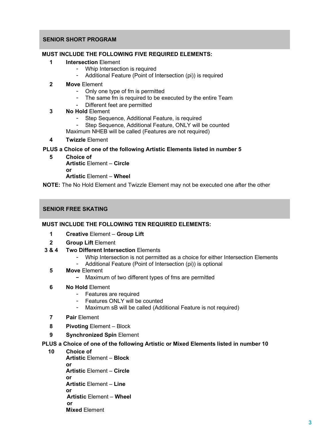#### SENIOR SHORT PROGRAM

#### MUST INCLUDE THE FOLLOWING FIVE REQUIRED ELEMENTS:

- 1 Intersection Flement
	- Whip Intersection is required
	- Additional Feature (Point of Intersection (pi)) is required
- 2 Move Element
	- Only one type of fm is permitted
	- The same fm is required to be executed by the entire Team
	- Different feet are permitted
- 3 No Hold Element
	- Step Sequence, Additional Feature, is required
	- Step Sequence, Additional Feature, ONLY will be counted
	- Maximum NHEB will be called (Features are not required)
- 4 Twizzle Element

#### PLUS a Choice of one of the following Artistic Elements listed in number 5

5 Choice of Artistic Element – Circle or Artistic Element – Wheel

NOTE: The No Hold Element and Twizzle Element may not be executed one after the other

#### SENIOR FREE SKATING

#### MUST INCLUDE THE FOLLOWING TEN REQUIRED ELEMENTS:

- 1 Creative Element Group Lift
- 2 Group Lift Element
- 3 & 4 Two Different Intersection Elements
	- Whip Intersection is not permitted as a choice for either Intersection Elements
	- Additional Feature (Point of Intersection (pi)) is optional
	- 5 Move Element
		- Maximum of two different types of fms are permitted
	- 6 No Hold Element
		- Features are required
		- Features ONLY will be counted
		- Maximum sB will be called (Additional Feature is not required)
	- 7 Pair Element
	- 8 Pivoting Element Block
	- 9 Synchronized Spin Element

#### PLUS a Choice of one of the following Artistic or Mixed Elements listed in number 10

10 Choice of Artistic Element – Block or Artistic Element – Circle or Artistic Element – Line or Artistic Element – Wheel or Mixed Element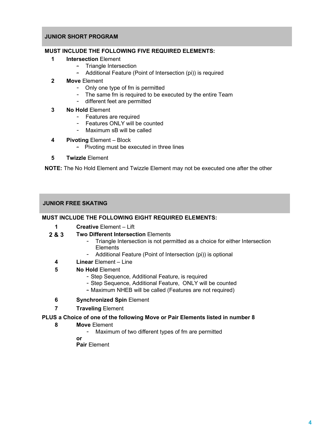# JUNIOR SHORT PROGRAM

#### MUST INCLUDE THE FOLLOWING FIVE REQUIRED ELEMENTS:

- 1 **Intersection Element** 
	- Triangle Intersection
	- Additional Feature (Point of Intersection (pi)) is required
- 2 Move Element
	- Only one type of fm is permitted
	- The same fm is required to be executed by the entire Team
	- different feet are permitted
- 3 No Hold Element
	- Features are required
	- Features ONLY will be counted
	- Maximum sB will be called
- 4 Pivoting Element Block
	- Pivoting must be executed in three lines
- 5 Twizzle Element

NOTE: The No Hold Element and Twizzle Element may not be executed one after the other

# JUNIOR FREE SKATING

# MUST INCLUDE THE FOLLOWING EIGHT REQUIRED ELEMENTS:

- 1 **Creative Element Lift**
- 2 & 3 Two Different Intersection Elements
	- Triangle Intersection is not permitted as a choice for either Intersection **Elements**
	- Additional Feature (Point of Intersection (pi)) is optional
	- 4 Linear Element Line
	- 5 No Hold Element
		- Step Sequence, Additional Feature, is required
		- Step Sequence, Additional Feature, ONLY will be counted
		- Maximum NHEB will be called (Features are not required)
	- 6 Synchronized Spin Element
	- **7** Traveling Element

# PLUS a Choice of one of the following Move or Pair Elements listed in number 8

- 8 Move Element
	- Maximum of two different types of fm are permitted
	- or
	- Pair Element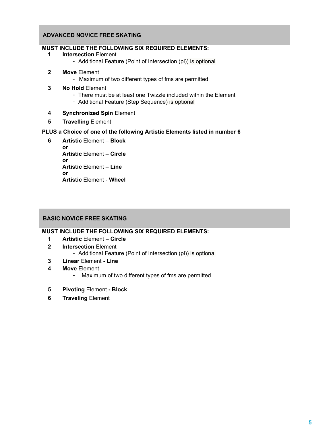#### ADVANCED NOVICE FREE SKATING

# MUST INCLUDE THE FOLLOWING SIX REQUIRED ELEMENTS:

#### 1 Intersection Element

- Additional Feature (Point of Intersection (pi)) is optional
- 2 Move Element
	- Maximum of two different types of fms are permitted
- 3 No Hold Element
	- There must be at least one Twizzle included within the Element
	- Additional Feature (Step Sequence) is optional
- 4 Synchronized Spin Element
- 5 Travelling Element

# PLUS a Choice of one of the following Artistic Elements listed in number 6

6 Artistic Element – Block or Artistic Element – Circle or Artistic Element – Line or Artistic Element - Wheel

# BASIC NOVICE FREE SKATING

#### MUST INCLUDE THE FOLLOWING SIX REQUIRED ELEMENTS:

- 1 Artistic Element Circle
- 2 Intersection Element
	- Additional Feature (Point of Intersection (pi)) is optional
- 3 Linear Element Line
- 4 Move Element
	- Maximum of two different types of fms are permitted
- 5 Pivoting Element Block
- **6** Traveling Element